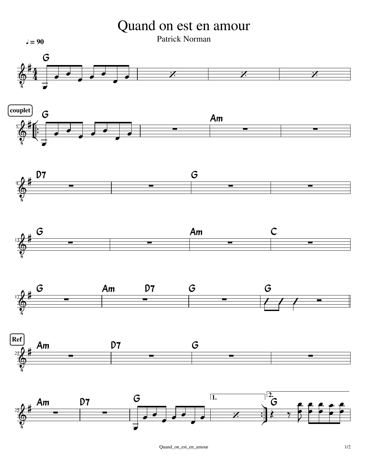Quand on est en amour

Patrick Norman